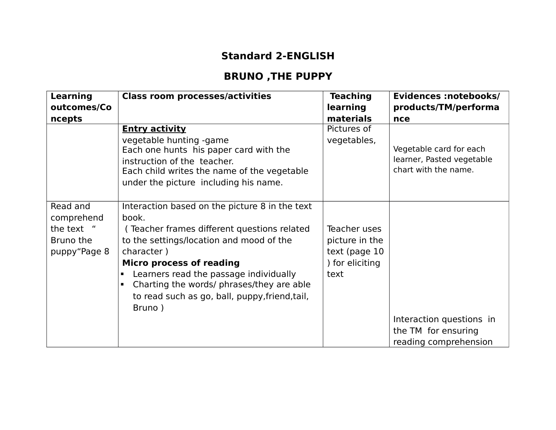## **Standard 2-ENGLISH**

## **BRUNO ,THE PUPPY**

| <b>Learning</b>                                                   | <b>Class room processes/activities</b>                                                                                                                                                                                                                                                                                                                                                     | <b>Teaching</b>                                                             | Evidences :notebooks/                                                        |
|-------------------------------------------------------------------|--------------------------------------------------------------------------------------------------------------------------------------------------------------------------------------------------------------------------------------------------------------------------------------------------------------------------------------------------------------------------------------------|-----------------------------------------------------------------------------|------------------------------------------------------------------------------|
| outcomes/Co                                                       |                                                                                                                                                                                                                                                                                                                                                                                            | learning                                                                    | products/TM/performa                                                         |
| ncepts                                                            |                                                                                                                                                                                                                                                                                                                                                                                            | materials                                                                   | nce                                                                          |
|                                                                   | <b>Entry activity</b><br>vegetable hunting -game<br>Each one hunts his paper card with the<br>instruction of the teacher.<br>Each child writes the name of the vegetable<br>under the picture including his name.                                                                                                                                                                          | Pictures of<br>vegetables,                                                  | Vegetable card for each<br>learner, Pasted vegetable<br>chart with the name. |
| Read and<br>comprehend<br>the text "<br>Bruno the<br>puppy"Page 8 | Interaction based on the picture 8 in the text<br>book.<br>(Teacher frames different questions related<br>to the settings/location and mood of the<br>character)<br><b>Micro process of reading</b><br>Learners read the passage individually<br>$\blacksquare$<br>Charting the words/ phrases/they are able<br>$\blacksquare$<br>to read such as go, ball, puppy, friend, tail,<br>Bruno) | Teacher uses<br>picture in the<br>text (page 10)<br>) for eliciting<br>text | Interaction questions in<br>the TM for ensuring<br>reading comprehension     |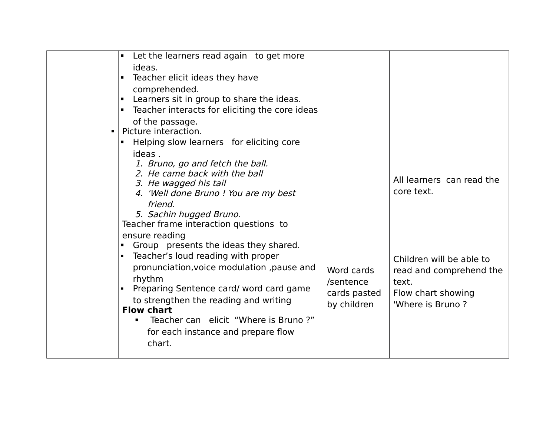|                | Let the learners read again to get more<br>$\blacksquare$  |              |                           |
|----------------|------------------------------------------------------------|--------------|---------------------------|
|                | ideas.                                                     |              |                           |
|                | • Teacher elicit ideas they have                           |              |                           |
|                | comprehended.                                              |              |                           |
|                | Learners sit in group to share the ideas.                  |              |                           |
|                | • Teacher interacts for eliciting the core ideas           |              |                           |
|                | of the passage.                                            |              |                           |
| $\blacksquare$ | Picture interaction.                                       |              |                           |
|                | Helping slow learners for eliciting core<br>$\blacksquare$ |              |                           |
|                | ideas.                                                     |              |                           |
|                | 1. Bruno, go and fetch the ball.                           |              |                           |
|                | 2. He came back with the ball                              |              |                           |
|                | 3. He wagged his tail                                      |              | All learners can read the |
|                | 4. 'Well done Bruno ! You are my best                      |              | core text.                |
|                | friend.                                                    |              |                           |
|                | 5. Sachin hugged Bruno.                                    |              |                           |
|                | Teacher frame interaction questions to                     |              |                           |
|                | ensure reading                                             |              |                           |
|                | Group presents the ideas they shared.<br>$\blacksquare$ .  |              |                           |
|                | • Teacher's loud reading with proper                       |              | Children will be able to  |
|                | pronunciation, voice modulation, pause and                 | Word cards   | read and comprehend the   |
|                | rhythm                                                     | /sentence    | text.                     |
|                | Preparing Sentence card/ word card game                    | cards pasted | Flow chart showing        |
|                | to strengthen the reading and writing                      | by children  | 'Where is Bruno?          |
|                | <b>Flow chart</b>                                          |              |                           |
|                | Teacher can elicit "Where is Bruno?"<br>п.                 |              |                           |
|                | for each instance and prepare flow                         |              |                           |
|                | chart.                                                     |              |                           |
|                |                                                            |              |                           |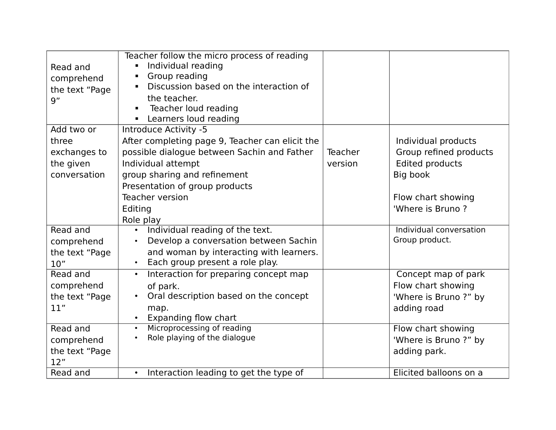| Read and<br>comprehend<br>the text "Page<br>9" | Teacher follow the micro process of reading<br>Individual reading<br>Ξ<br>Group reading<br>п<br>Discussion based on the interaction of<br>п<br>the teacher.<br>Teacher loud reading<br>п<br>Learners loud reading<br>П |                |                         |
|------------------------------------------------|------------------------------------------------------------------------------------------------------------------------------------------------------------------------------------------------------------------------|----------------|-------------------------|
| Add two or                                     | Introduce Activity -5                                                                                                                                                                                                  |                |                         |
| three                                          | After completing page 9, Teacher can elicit the                                                                                                                                                                        |                | Individual products     |
| exchanges to                                   | possible dialogue between Sachin and Father                                                                                                                                                                            | <b>Teacher</b> | Group refined products  |
| the given                                      | Individual attempt                                                                                                                                                                                                     | version        | Edited products         |
| conversation                                   | group sharing and refinement                                                                                                                                                                                           |                | Big book                |
|                                                | Presentation of group products                                                                                                                                                                                         |                |                         |
|                                                | <b>Teacher version</b>                                                                                                                                                                                                 |                | Flow chart showing      |
|                                                | Editing                                                                                                                                                                                                                |                | 'Where is Bruno?        |
|                                                | Role play                                                                                                                                                                                                              |                |                         |
| Read and                                       | Individual reading of the text.<br>$\bullet$                                                                                                                                                                           |                | Individual conversation |
| comprehend                                     | Develop a conversation between Sachin<br>$\bullet$                                                                                                                                                                     |                | Group product.          |
| the text "Page                                 | and woman by interacting with learners.                                                                                                                                                                                |                |                         |
| 10"                                            | Each group present a role play.<br>$\bullet$                                                                                                                                                                           |                |                         |
| Read and                                       | Interaction for preparing concept map<br>$\bullet$                                                                                                                                                                     |                | Concept map of park     |
| comprehend                                     | of park.                                                                                                                                                                                                               |                | Flow chart showing      |
| the text "Page                                 | Oral description based on the concept                                                                                                                                                                                  |                | 'Where is Bruno ?" by   |
| 11"                                            | map.<br><b>Expanding flow chart</b><br>$\bullet$                                                                                                                                                                       |                | adding road             |
| Read and                                       | Microprocessing of reading<br>$\bullet$                                                                                                                                                                                |                | Flow chart showing      |
| comprehend                                     | Role playing of the dialogue<br>$\bullet$                                                                                                                                                                              |                | 'Where is Bruno ?" by   |
| the text "Page                                 |                                                                                                                                                                                                                        |                | adding park.            |
| 12"                                            |                                                                                                                                                                                                                        |                |                         |
| Read and                                       | Interaction leading to get the type of<br>$\bullet$                                                                                                                                                                    |                | Elicited balloons on a  |
|                                                |                                                                                                                                                                                                                        |                |                         |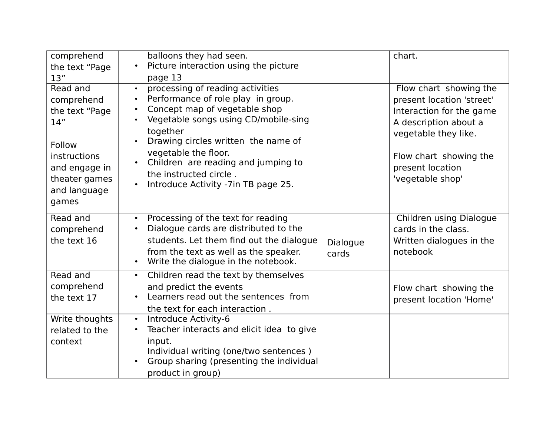| comprehend<br>the text "Page<br>13"                                                                                                         | balloons they had seen.<br>Picture interaction using the picture<br>$\bullet$<br>page 13                                                                                                                                                                                                                                                                                                                                      |                          | chart.                                                                                                                                                                                             |
|---------------------------------------------------------------------------------------------------------------------------------------------|-------------------------------------------------------------------------------------------------------------------------------------------------------------------------------------------------------------------------------------------------------------------------------------------------------------------------------------------------------------------------------------------------------------------------------|--------------------------|----------------------------------------------------------------------------------------------------------------------------------------------------------------------------------------------------|
| Read and<br>comprehend<br>the text "Page<br>14"<br>Follow<br><i>instructions</i><br>and engage in<br>theater games<br>and language<br>games | processing of reading activities<br>$\bullet$<br>Performance of role play in group.<br>$\bullet$<br>Concept map of vegetable shop<br>$\bullet$<br>Vegetable songs using CD/mobile-sing<br>$\bullet$<br>together<br>Drawing circles written the name of<br>$\bullet$<br>vegetable the floor.<br>Children are reading and jumping to<br>$\bullet$<br>the instructed circle.<br>Introduce Activity -7in TB page 25.<br>$\bullet$ |                          | Flow chart showing the<br>present location 'street'<br>Interaction for the game<br>A description about a<br>vegetable they like.<br>Flow chart showing the<br>present location<br>'vegetable shop' |
| Read and<br>comprehend<br>the text 16                                                                                                       | Processing of the text for reading<br>$\bullet$<br>Dialogue cards are distributed to the<br>$\bullet$<br>students. Let them find out the dialogue<br>from the text as well as the speaker.<br>Write the dialogue in the notebook.<br>$\bullet$                                                                                                                                                                                | <b>Dialogue</b><br>cards | Children using Dialogue<br>cards in the class.<br>Written dialogues in the<br>notebook                                                                                                             |
| Read and<br>comprehend<br>the text 17                                                                                                       | Children read the text by themselves<br>$\bullet$<br>and predict the events<br>Learners read out the sentences from<br>$\bullet$<br>the text for each interaction.                                                                                                                                                                                                                                                            |                          | Flow chart showing the<br>present location 'Home'                                                                                                                                                  |
| Write thoughts<br>related to the<br>context                                                                                                 | Introduce Activity-6<br>$\bullet$<br>Teacher interacts and elicit idea to give<br>$\bullet$<br>input.<br>Individual writing (one/two sentences)<br>Group sharing (presenting the individual<br>product in group)                                                                                                                                                                                                              |                          |                                                                                                                                                                                                    |